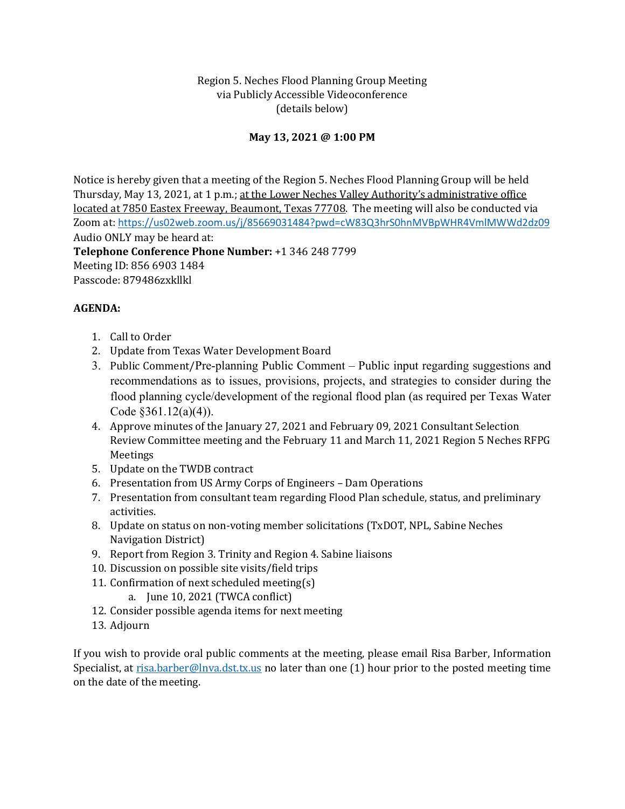## Region 5. Neches Flood Planning Group Meeting via Publicly Accessible Videoconference (details below)

## **May 13, 2021 @ 1:00 PM**

Notice is hereby given that a meeting of the Region 5. Neches Flood Planning Group will be held Thursday, May 13, 2021, at 1 p.m.; at the Lower Neches Valley Authority's administrative office located at 7850 Eastex Freeway, Beaumont, Texas 77708. The meeting will also be conducted via Zoom at: <https://us02web.zoom.us/j/85669031484?pwd=cW83Q3hrS0hnMVBpWHR4VmlMWWd2dz09> Audio ONLY may be heard at: **Telephone Conference Phone Number:** +1 346 248 7799 Meeting ID: 856 6903 1484 Passcode: 879486zxkllkl

## **AGENDA:**

- 1. Call to Order
- 2. Update from Texas Water Development Board
- 3. Public Comment/Pre-planning Public Comment Public input regarding suggestions and recommendations as to issues, provisions, projects, and strategies to consider during the flood planning cycle/development of the regional flood plan (as required per Texas Water Code §361.12(a)(4)).
- 4. Approve minutes of the January 27, 2021 and February 09, 2021 Consultant Selection Review Committee meeting and the February 11 and March 11, 2021 Region 5 Neches RFPG Meetings
- 5. Update on the TWDB contract
- 6. Presentation from US Army Corps of Engineers Dam Operations
- 7. Presentation from consultant team regarding Flood Plan schedule, status, and preliminary activities.
- 8. Update on status on non-voting member solicitations (TxDOT, NPL, Sabine Neches Navigation District)
- 9. Report from Region 3. Trinity and Region 4. Sabine liaisons
- 10. Discussion on possible site visits/field trips
- 11. Confirmation of next scheduled meeting(s)
	- a. June 10, 2021 (TWCA conflict)
- 12. Consider possible agenda items for next meeting
- 13. Adjourn

If you wish to provide oral public comments at the meeting, please email Risa Barber, Information Specialist, at [risa.barber@lnva.dst.tx.us](mailto:risa.barber@lnva.dst.tx.us) no later than one (1) hour prior to the posted meeting time on the date of the meeting.